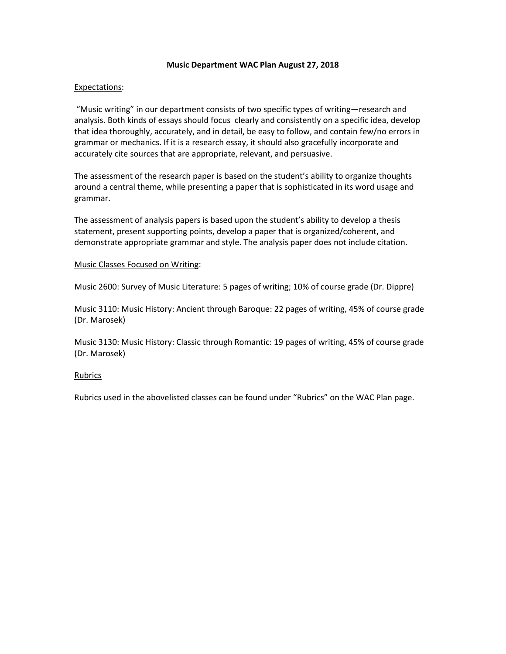## **Music Department WAC Plan August 27, 2018**

## Expectations:

"Music writing" in our department consists of two specific types of writing—research and analysis. Both kinds of essays should focus clearly and consistently on a specific idea, develop that idea thoroughly, accurately, and in detail, be easy to follow, and contain few/no errors in grammar or mechanics. If it is a research essay, it should also gracefully incorporate and accurately cite sources that are appropriate, relevant, and persuasive.

The assessment of the research paper is based on the student's ability to organize thoughts around a central theme, while presenting a paper that is sophisticated in its word usage and grammar.

The assessment of analysis papers is based upon the student's ability to develop a thesis statement, present supporting points, develop a paper that is organized/coherent, and demonstrate appropriate grammar and style. The analysis paper does not include citation.

## Music Classes Focused on Writing:

Music 2600: Survey of Music Literature: 5 pages of writing; 10% of course grade (Dr. Dippre)

Music 3110: Music History: Ancient through Baroque: 22 pages of writing, 45% of course grade (Dr. Marosek)

Music 3130: Music History: Classic through Romantic: 19 pages of writing, 45% of course grade (Dr. Marosek)

## **Rubrics**

Rubrics used in the abovelisted classes can be found under "Rubrics" on the WAC Plan page.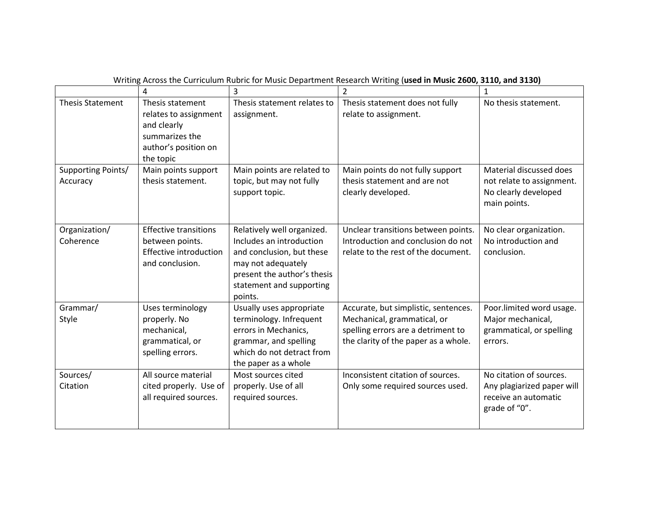|                                | 4                                                                                                               | 3                                                                                                                                                                               | 2                                                                                                                                                 | 1                                                                                              |
|--------------------------------|-----------------------------------------------------------------------------------------------------------------|---------------------------------------------------------------------------------------------------------------------------------------------------------------------------------|---------------------------------------------------------------------------------------------------------------------------------------------------|------------------------------------------------------------------------------------------------|
| <b>Thesis Statement</b>        | Thesis statement<br>relates to assignment<br>and clearly<br>summarizes the<br>author's position on<br>the topic | Thesis statement relates to<br>assignment.                                                                                                                                      | Thesis statement does not fully<br>relate to assignment.                                                                                          | No thesis statement.                                                                           |
| Supporting Points/<br>Accuracy | Main points support<br>thesis statement.                                                                        | Main points are related to<br>topic, but may not fully<br>support topic.                                                                                                        | Main points do not fully support<br>thesis statement and are not<br>clearly developed.                                                            | Material discussed does<br>not relate to assignment.<br>No clearly developed<br>main points.   |
| Organization/<br>Coherence     | <b>Effective transitions</b><br>between points.<br><b>Effective introduction</b><br>and conclusion.             | Relatively well organized.<br>Includes an introduction<br>and conclusion, but these<br>may not adequately<br>present the author's thesis<br>statement and supporting<br>points. | Unclear transitions between points.<br>Introduction and conclusion do not<br>relate to the rest of the document.                                  | No clear organization.<br>No introduction and<br>conclusion.                                   |
| Grammar/<br>Style              | Uses terminology<br>properly. No<br>mechanical,<br>grammatical, or<br>spelling errors.                          | Usually uses appropriate<br>terminology. Infrequent<br>errors in Mechanics,<br>grammar, and spelling<br>which do not detract from<br>the paper as a whole                       | Accurate, but simplistic, sentences.<br>Mechanical, grammatical, or<br>spelling errors are a detriment to<br>the clarity of the paper as a whole. | Poor.limited word usage.<br>Major mechanical,<br>grammatical, or spelling<br>errors.           |
| Sources/<br>Citation           | All source material<br>cited properly. Use of<br>all required sources.                                          | Most sources cited<br>properly. Use of all<br>required sources.                                                                                                                 | Inconsistent citation of sources.<br>Only some required sources used.                                                                             | No citation of sources.<br>Any plagiarized paper will<br>receive an automatic<br>grade of "0". |

Writing Across the Curriculum Rubric for Music Department Research Writing (**used in Music 2600, 3110, and 3130)**